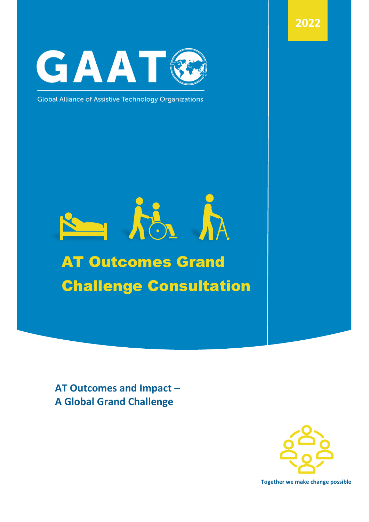**2022**



**Global Alliance of Assistive Technology Organizations** 

# AG A AT Outcomes Grand

# Challenge Consultation

**AT Outcomes and Impact – A Global Grand Challenge**



**Together we make change possible**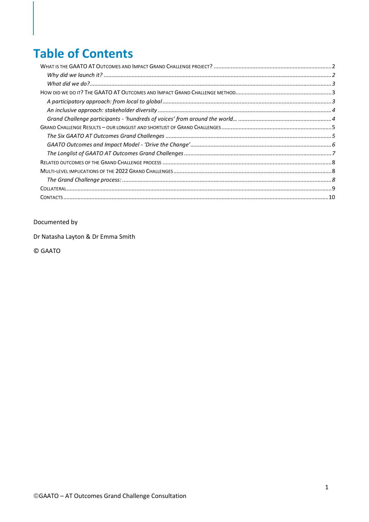## **Table of Contents**

#### Documented by

Dr Natasha Layton & Dr Emma Smith

© GAATO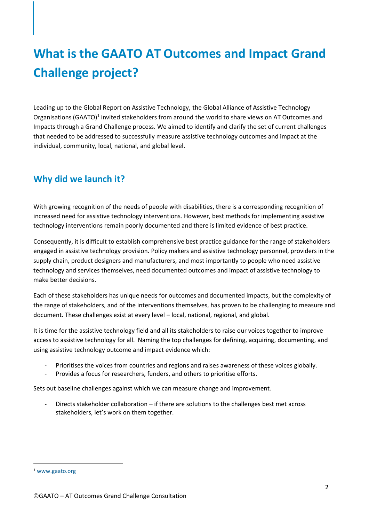# <span id="page-2-0"></span>**What is the GAATO AT Outcomes and Impact Grand Challenge project?**

Leading up to the Global Report on Assistive Technology, the Global Alliance of Assistive Technology Organisations (GAATO)<sup>1</sup> invited stakeholders from around the world to share views on AT Outcomes and Impacts through a Grand Challenge process. We aimed to identify and clarify the set of current challenges that needed to be addressed to successfully measure assistive technology outcomes and impact at the individual, community, local, national, and global level.

#### <span id="page-2-1"></span>**Why did we launch it?**

With growing recognition of the needs of people with disabilities, there is a corresponding recognition of increased need for assistive technology interventions. However, best methods for implementing assistive technology interventions remain poorly documented and there is limited evidence of best practice.

Consequently, it is difficult to establish comprehensive best practice guidance for the range of stakeholders engaged in assistive technology provision. Policy makers and assistive technology personnel, providers in the supply chain, product designers and manufacturers, and most importantly to people who need assistive technology and services themselves, need documented outcomes and impact of assistive technology to make better decisions.

Each of these stakeholders has unique needs for outcomes and documented impacts, but the complexity of the range of stakeholders, and of the interventions themselves, has proven to be challenging to measure and document. These challenges exist at every level – local, national, regional, and global.

It is time for the assistive technology field and all its stakeholders to raise our voices together to improve access to assistive technology for all. Naming the top challenges for defining, acquiring, documenting, and using assistive technology outcome and impact evidence which:

- Prioritises the voices from countries and regions and raises awareness of these voices globally.
- Provides a focus for researchers, funders, and others to prioritise efforts.

Sets out baseline challenges against which we can measure change and improvement.

Directs stakeholder collaboration – if there are solutions to the challenges best met across stakeholders, let's work on them together.

<sup>1</sup> [www.gaato.org](http://www.gaato.org/)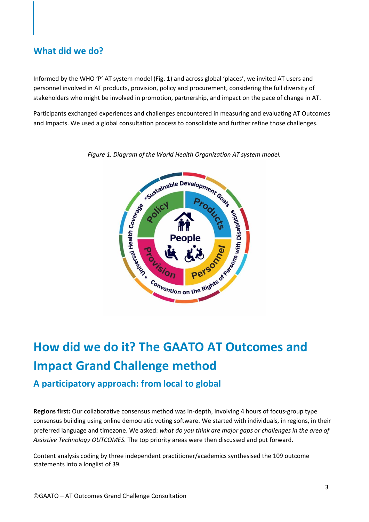#### <span id="page-3-0"></span>**What did we do?**

Informed by the WHO 'P' AT system model (Fig. 1) and across global 'places', we invited AT users and personnel involved in AT products, provision, policy and procurement, considering the full diversity of stakeholders who might be involved in promotion, partnership, and impact on the pace of change in AT.

Participants exchanged experiences and challenges encountered in measuring and evaluating AT Outcomes and Impacts. We used a global consultation process to consolidate and further refine those challenges.



*Figure 1. Diagram of the World Health Organization AT system model.*

# <span id="page-3-1"></span>**How did we do it? The GAATO AT Outcomes and Impact Grand Challenge method**

#### <span id="page-3-2"></span>**A participatory approach: from local to global**

**Regions first:** Our collaborative consensus method was in-depth, involving 4 hours of focus-group type consensus building using online democratic voting software. We started with individuals, in regions, in their preferred language and timezone. We asked: *what do you think are major gaps or challenges in the area of Assistive Technology OUTCOMES.* The top priority areas were then discussed and put forward.

Content analysis coding by three independent practitioner/academics synthesised the 109 outcome statements into a longlist of 39.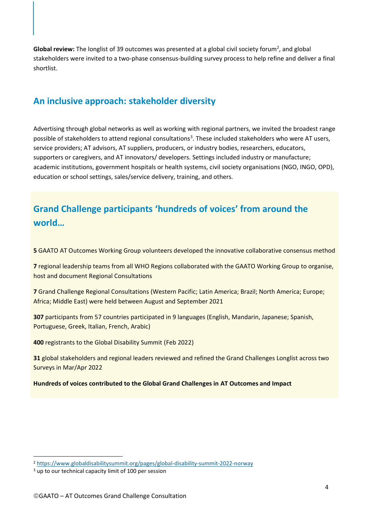Global review: The longlist of 39 outcomes was presented at a global civil society forum<sup>2</sup>, and global stakeholders were invited to a two-phase consensus-building survey process to help refine and deliver a final shortlist.

#### <span id="page-4-0"></span>**An inclusive approach: stakeholder diversity**

Advertising through global networks as well as working with regional partners, we invited the broadest range possible of stakeholders to attend regional consultations<sup>3</sup>. These included stakeholders who were AT users, service providers; AT advisors, AT suppliers, producers, or industry bodies, researchers, educators, supporters or caregivers, and AT innovators/ developers. Settings included industry or manufacture; academic institutions, government hospitals or health systems, civil society organisations (NGO, INGO, OPD), education or school settings, sales/service delivery, training, and others.

#### <span id="page-4-1"></span>**Grand Challenge participants 'hundreds of voices' from around the world…**

**5** GAATO AT Outcomes Working Group volunteers developed the innovative collaborative consensus method

**7** regional leadership teams from all WHO Regions collaborated with the GAATO Working Group to organise, host and document Regional Consultations

**7** Grand Challenge Regional Consultations (Western Pacific; Latin America; Brazil; North America; Europe; Africa; Middle East) were held between August and September 2021

**307** participants from 57 countries participated in 9 languages (English, Mandarin, Japanese; Spanish, Portuguese, Greek, Italian, French, Arabic)

**400** registrants to the Global Disability Summit (Feb 2022)

**31** global stakeholders and regional leaders reviewed and refined the Grand Challenges Longlist across two Surveys in Mar/Apr 2022

#### **Hundreds of voices contributed to the Global Grand Challenges in AT Outcomes and Impact**

<sup>2</sup> <https://www.globaldisabilitysummit.org/pages/global-disability-summit-2022-norway>

<sup>&</sup>lt;sup>3</sup> up to our technical capacity limit of 100 per session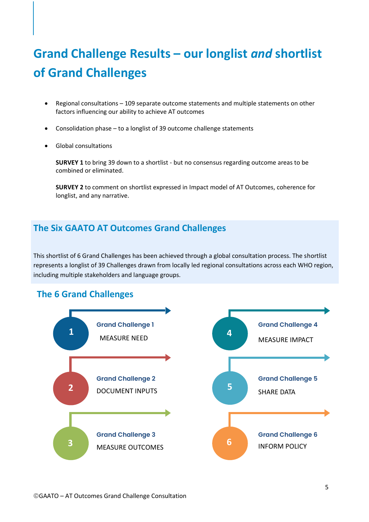# <span id="page-5-0"></span>**Grand Challenge Results – our longlist** *and* **shortlist of Grand Challenges**

- Regional consultations 109 separate outcome statements and multiple statements on other factors influencing our ability to achieve AT outcomes
- Consolidation phase to a longlist of 39 outcome challenge statements
- Global consultations

**SURVEY 1** to bring 39 down to a shortlist - but no consensus regarding outcome areas to be combined or eliminated.

**SURVEY 2** to comment on shortlist expressed in Impact model of AT Outcomes, coherence for longlist, and any narrative.

#### <span id="page-5-1"></span>**The Six GAATO AT Outcomes Grand Challenges**

This shortlist of 6 Grand Challenges has been achieved through a global consultation process. The shortlist represents a longlist of 39 Challenges drawn from locally led regional consultations across each WHO region, including multiple stakeholders and language groups.

#### **The 6 Grand Challenges**

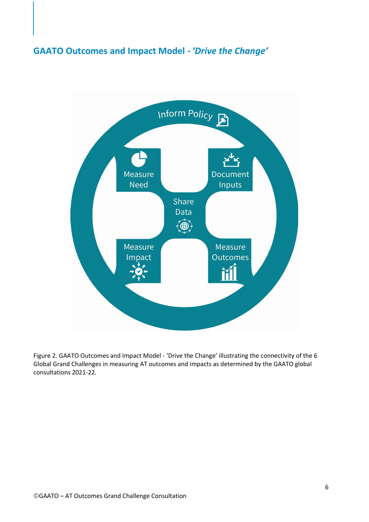#### <span id="page-6-0"></span>**GAATO Outcomes and Impact Model -** *'Drive the Change'*



Figure 2. GAATO Outcomes and Impact Model - 'Drive the Change' illustrating the connectivity of the 6 Global Grand Challenges in measuring AT outcomes and impacts as determined by the GAATO global consultations 2021-22.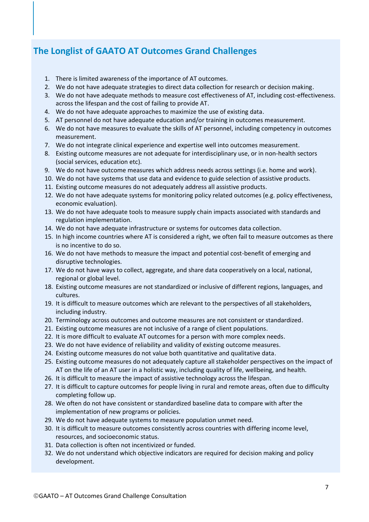#### <span id="page-7-0"></span>**The Longlist of GAATO AT Outcomes Grand Challenges**

- 1. There is limited awareness of the importance of AT outcomes.
- 2. We do not have adequate strategies to direct data collection for research or decision making.
- 3. We do not have adequate methods to measure cost effectiveness of AT, including cost-effectiveness. across the lifespan and the cost of failing to provide AT.
- 4. We do not have adequate approaches to maximize the use of existing data.
- 5. AT personnel do not have adequate education and/or training in outcomes measurement.
- 6. We do not have measures to evaluate the skills of AT personnel, including competency in outcomes measurement.
- 7. We do not integrate clinical experience and expertise well into outcomes measurement.
- 8. Existing outcome measures are not adequate for interdisciplinary use, or in non-health sectors (social services, education etc).
- 9. We do not have outcome measures which address needs across settings (i.e. home and work).
- 10. We do not have systems that use data and evidence to guide selection of assistive products.
- 11. Existing outcome measures do not adequately address all assistive products.
- 12. We do not have adequate systems for monitoring policy related outcomes (e.g. policy effectiveness, economic evaluation).
- 13. We do not have adequate tools to measure supply chain impacts associated with standards and regulation implementation.
- 14. We do not have adequate infrastructure or systems for outcomes data collection.
- 15. In high income countries where AT is considered a right, we often fail to measure outcomes as there is no incentive to do so.
- 16. We do not have methods to measure the impact and potential cost-benefit of emerging and disruptive technologies.
- 17. We do not have ways to collect, aggregate, and share data cooperatively on a local, national, regional or global level.
- 18. Existing outcome measures are not standardized or inclusive of different regions, languages, and cultures.
- 19. It is difficult to measure outcomes which are relevant to the perspectives of all stakeholders, including industry.
- 20. Terminology across outcomes and outcome measures are not consistent or standardized.
- 21. Existing outcome measures are not inclusive of a range of client populations.
- 22. It is more difficult to evaluate AT outcomes for a person with more complex needs.
- 23. We do not have evidence of reliability and validity of existing outcome measures.
- 24. Existing outcome measures do not value both quantitative and qualitative data.
- 25. Existing outcome measures do not adequately capture all stakeholder perspectives on the impact of AT on the life of an AT user in a holistic way, including quality of life, wellbeing, and health.
- 26. It is difficult to measure the impact of assistive technology across the lifespan.
- 27. It is difficult to capture outcomes for people living in rural and remote areas, often due to difficulty completing follow up.
- 28. We often do not have consistent or standardized baseline data to compare with after the implementation of new programs or policies.
- 29. We do not have adequate systems to measure population unmet need.
- 30. It is difficult to measure outcomes consistently across countries with differing income level, resources, and socioeconomic status.
- 31. Data collection is often not incentivized or funded.
- 32. We do not understand which objective indicators are required for decision making and policy development.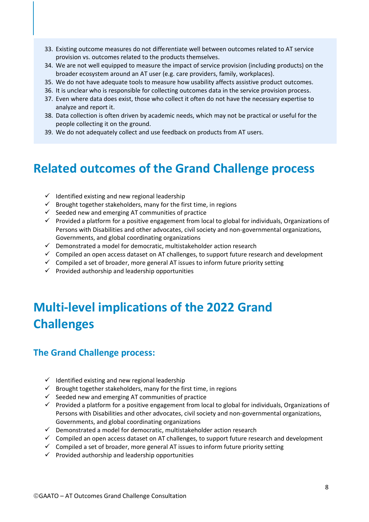- 33. Existing outcome measures do not differentiate well between outcomes related to AT service provision vs. outcomes related to the products themselves.
- 34. We are not well equipped to measure the impact of service provision (including products) on the broader ecosystem around an AT user (e.g. care providers, family, workplaces).
- 35. We do not have adequate tools to measure how usability affects assistive product outcomes.
- 36. It is unclear who is responsible for collecting outcomes data in the service provision process.
- 37. Even where data does exist, those who collect it often do not have the necessary expertise to analyze and report it.
- 38. Data collection is often driven by academic needs, which may not be practical or useful for the people collecting it on the ground.
- 39. We do not adequately collect and use feedback on products from AT users.

## <span id="page-8-0"></span>**Related outcomes of the Grand Challenge process**

- $\checkmark$  Identified existing and new regional leadership
- $\checkmark$  Brought together stakeholders, many for the first time, in regions
- $\checkmark$  Seeded new and emerging AT communities of practice
- ✓ Provided a platform for a positive engagement from local to global for individuals, Organizations of Persons with Disabilities and other advocates, civil society and non-governmental organizations, Governments, and global coordinating organizations
- $\checkmark$  Demonstrated a model for democratic, multistakeholder action research
- $\checkmark$  Compiled an open access dataset on AT challenges, to support future research and development
- $\checkmark$  Compiled a set of broader, more general AT issues to inform future priority setting
- $\checkmark$  Provided authorship and leadership opportunities

## <span id="page-8-1"></span>**Multi-level implications of the 2022 Grand Challenges**

#### <span id="page-8-2"></span>**The Grand Challenge process:**

- $\checkmark$  Identified existing and new regional leadership
- $\checkmark$  Brought together stakeholders, many for the first time, in regions
- $\checkmark$  Seeded new and emerging AT communities of practice
- $\checkmark$  Provided a platform for a positive engagement from local to global for individuals, Organizations of Persons with Disabilities and other advocates, civil society and non-governmental organizations, Governments, and global coordinating organizations
- ✓ Demonstrated a model for democratic, multistakeholder action research
- ✓ Compiled an open access dataset on AT challenges, to support future research and development
- $\checkmark$  Compiled a set of broader, more general AT issues to inform future priority setting
- $\checkmark$  Provided authorship and leadership opportunities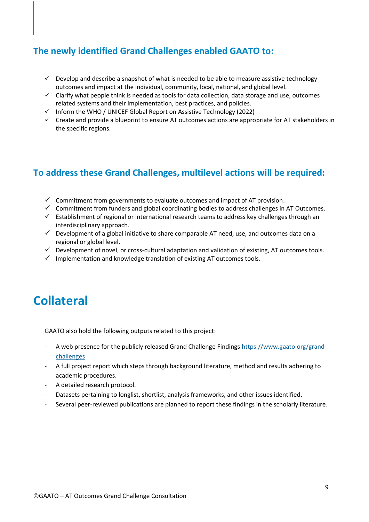#### **The newly identified Grand Challenges enabled GAATO to:**

- $\checkmark$  Develop and describe a snapshot of what is needed to be able to measure assistive technology outcomes and impact at the individual, community, local, national, and global level.
- $\checkmark$  Clarify what people think is needed as tools for data collection, data storage and use, outcomes related systems and their implementation, best practices, and policies.
- ✓ Inform the WHO / UNICEF Global Report on Assistive Technology (2022)
- $\checkmark$  Create and provide a blueprint to ensure AT outcomes actions are appropriate for AT stakeholders in the specific regions.

#### **To address these Grand Challenges, multilevel actions will be required:**

- $\checkmark$  Commitment from governments to evaluate outcomes and impact of AT provision.
- ✓ Commitment from funders and global coordinating bodies to address challenges in AT Outcomes.
- $\checkmark$  Establishment of regional or international research teams to address key challenges through an interdisciplinary approach.
- ✓ Development of a global initiative to share comparable AT need, use, and outcomes data on a regional or global level.
- ✓ Development of novel, or cross-cultural adaptation and validation of existing, AT outcomes tools.
- $\checkmark$  Implementation and knowledge translation of existing AT outcomes tools.

## <span id="page-9-0"></span>**Collateral**

GAATO also hold the following outputs related to this project:

- A web presence for the publicly released Grand Challenge Findings [https://www.gaato.org/grand](https://www.gaato.org/grand-challenges)[challenges](https://www.gaato.org/grand-challenges)
- A full project report which steps through background literature, method and results adhering to academic procedures.
- A detailed research protocol.
- Datasets pertaining to longlist, shortlist, analysis frameworks, and other issues identified.
- Several peer-reviewed publications are planned to report these findings in the scholarly literature.